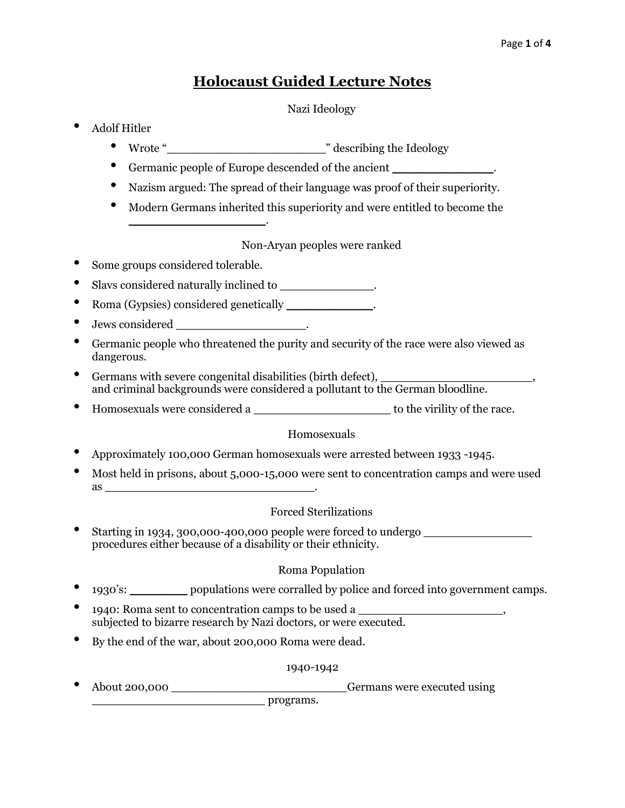# **Holocaust Guided Lecture Notes**

## Nazi Ideology

- Adolf Hitler
	- Wrote "\_\_\_\_\_\_\_\_\_\_\_\_\_\_\_\_\_\_\_\_\_\_" describing the Ideology
	- Germanic people of Europe descended of the ancient \_\_\_\_\_\_\_\_\_\_\_\_\_\_\_\_.
	- Nazism argued: The spread of their language was proof of their superiority.
	- Modern Germans inherited this superiority and were entitled to become the  $\mathcal{L}_\text{max}$  , where  $\mathcal{L}_\text{max}$  , we have the set of  $\mathcal{L}_\text{max}$

## Non-Aryan peoples were ranked

- Some groups considered tolerable.
- Slavs considered naturally inclined to \_\_\_\_\_\_\_\_\_\_\_\_\_\_.
- Roma (Gypsies) considered genetically \_\_\_\_\_\_\_\_\_\_\_\_.
- Jews considered \_\_\_\_\_\_\_\_\_\_\_\_\_\_\_\_\_\_.
- Germanic people who threatened the purity and security of the race were also viewed as dangerous.
- Germans with severe congenital disabilities (birth defect), and criminal backgrounds were considered a pollutant to the German bloodline.
- Homosexuals were considered a \_\_\_\_\_\_\_\_\_\_\_\_\_\_\_\_\_\_\_ to the virility of the race.

## Homosexuals

- Approximately 100,000 German homosexuals were arrested between 1933 -1945.
- Most held in prisons, about 5,000-15,000 were sent to concentration camps and were used  $\quad \text{as} \quad$

## Forced Sterilizations

Starting in 1934, 300,000-400,000 people were forced to undergo  $\sqrt{2}$ procedures either because of a disability or their ethnicity.

## Roma Population

- 1930's: \_\_\_\_\_\_\_\_ populations were corralled by police and forced into government camps.
- 1940: Roma sent to concentration camps to be used a \_\_\_\_\_\_\_\_\_\_\_\_\_\_\_\_\_\_\_\_, subjected to bizarre research by Nazi doctors, or were executed.
- By the end of the war, about 200,000 Roma were dead.

## 1940-1942

About 200,000 **and About 200,000** Germans were executed using

\_\_\_\_\_\_\_\_\_\_\_\_\_\_\_\_\_\_\_\_\_\_\_\_ programs.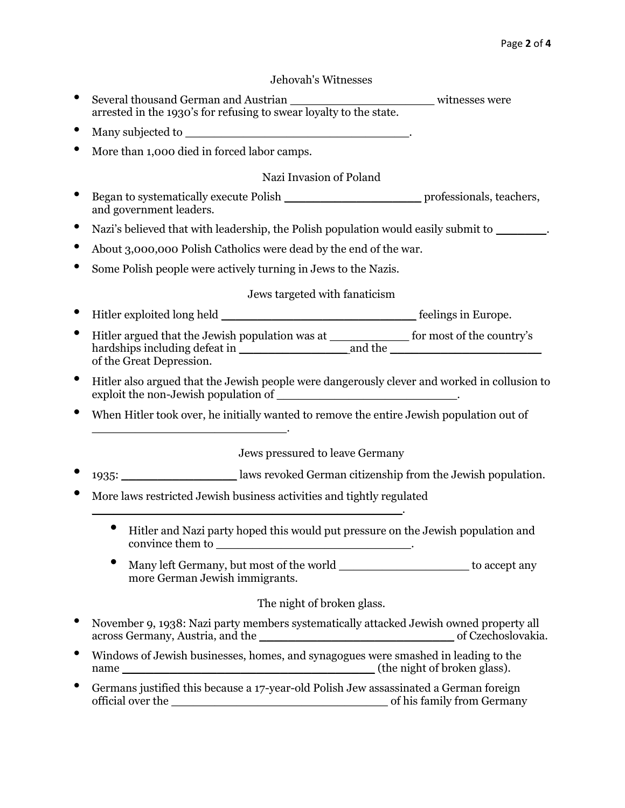#### Jehovah's Witnesses

- Several thousand German and Austrian \_\_\_\_\_\_\_\_\_\_\_\_\_\_\_\_\_\_\_\_ witnesses were arrested in the 1930's for refusing to swear loyalty to the state.
- Many subjected to \_\_\_\_\_\_\_\_\_\_\_\_\_\_\_\_\_\_\_\_\_\_\_\_\_\_\_\_\_\_\_.
- More than 1,000 died in forced labor camps.

### Nazi Invasion of Poland

- Began to systematically execute Polish \_\_\_\_\_\_\_\_\_\_\_\_\_\_\_\_\_\_\_ professionals, teachers, and government leaders.
- Nazi's believed that with leadership, the Polish population would easily submit to \_\_\_\_\_\_\_\_.
- About 3,000,000 Polish Catholics were dead by the end of the war.
- Some Polish people were actively turning in Jews to the Nazis.

#### Jews targeted with fanaticism

- Hitler exploited long held \_\_\_\_\_\_\_\_\_\_\_\_\_\_\_\_\_\_\_\_\_\_\_\_\_\_\_ feelings in Europe.
- Hitler argued that the Jewish population was at \_\_\_\_\_\_\_\_\_\_\_ for most of the country's hardships including defeat in \_\_\_\_\_\_\_\_\_\_\_\_\_\_\_ and the \_\_\_\_\_\_\_\_\_\_\_\_\_\_\_\_\_\_\_\_\_ of the Great Depression.
- Hitler also argued that the Jewish people were dangerously clever and worked in collusion to exploit the non-Jewish population of \_\_\_\_\_\_\_\_\_\_\_\_\_\_\_\_\_\_\_\_\_\_\_\_\_\_\_\_\_.
- When Hitler took over, he initially wanted to remove the entire Jewish population out of

Jews pressured to leave Germany

- 1935: \_\_\_\_\_\_\_\_\_\_\_\_\_\_\_\_ laws revoked German citizenship from the Jewish population.
- More laws restricted Jewish business activities and tightly regulated \_\_\_\_\_\_\_\_\_\_\_\_\_\_\_\_\_\_\_\_\_\_\_\_\_\_\_\_\_\_\_\_\_\_\_\_\_\_\_\_\_\_\_.

 $\mathcal{L}=\mathcal{L}=\mathcal{L}=\mathcal{L}=\mathcal{L}=\mathcal{L}=\mathcal{L}=\mathcal{L}=\mathcal{L}=\mathcal{L}=\mathcal{L}=\mathcal{L}=\mathcal{L}=\mathcal{L}=\mathcal{L}=\mathcal{L}=\mathcal{L}=\mathcal{L}=\mathcal{L}=\mathcal{L}=\mathcal{L}=\mathcal{L}=\mathcal{L}=\mathcal{L}=\mathcal{L}=\mathcal{L}=\mathcal{L}=\mathcal{L}=\mathcal{L}=\mathcal{L}=\mathcal{L}=\mathcal{L}=\mathcal{L}=\mathcal{L}=\mathcal{L}=\mathcal{L}=\mathcal{$ 

- Hitler and Nazi party hoped this would put pressure on the Jewish population and convince them to \_\_\_\_\_\_\_\_\_\_\_\_\_\_\_\_\_\_\_\_\_\_\_\_\_\_\_.
- Many left Germany, but most of the world \_\_\_\_\_\_\_\_\_\_\_\_\_\_\_\_\_\_\_\_\_\_ to accept any more German Jewish immigrants.

#### The night of broken glass.

- November 9, 1938: Nazi party members systematically attacked Jewish owned property all across Germany, Austria, and the **with the contract of the contract of Czechoslovakia**.
- Windows of Jewish businesses, homes, and synagogues were smashed in leading to the name **\_\_\_\_\_\_\_\_\_\_\_\_\_\_\_\_\_\_\_\_\_\_\_\_\_\_\_\_\_\_\_\_** (the night of broken glass).
- Germans justified this because a 17-year-old Polish Jew assassinated a German foreign official over the \_\_\_\_\_\_\_\_\_\_\_\_\_\_\_\_\_\_\_\_\_\_\_\_\_\_\_\_\_\_ of his family from Germany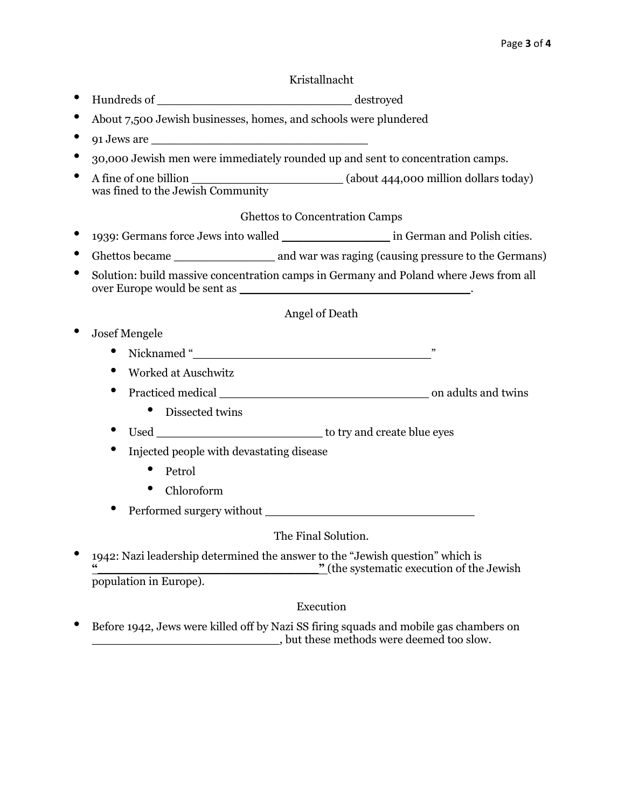#### Kristallnacht

- Hundreds of \_\_\_\_\_\_\_\_\_\_\_\_\_\_\_\_\_\_\_\_\_\_\_\_\_\_\_ destroyed
- About 7,500 Jewish businesses, homes, and schools were plundered
- $\bullet$  91 Jews are  $\_\_$
- 30,000 Jewish men were immediately rounded up and sent to concentration camps.
- A fine of one billion \_\_\_\_\_\_\_\_\_\_\_\_\_\_\_\_\_\_\_\_\_ (about 444,000 million dollars today) was fined to the Jewish Community

#### Ghettos to Concentration Camps

- 1939: Germans force Jews into walled \_\_\_\_\_\_\_\_\_\_\_\_\_\_\_ in German and Polish cities.
- Ghettos became \_\_\_\_\_\_\_\_\_\_\_\_\_\_\_\_\_\_\_\_ and war was raging (causing pressure to the Germans)
- Solution: build massive concentration camps in Germany and Poland where Jews from all over Europe would be sent as

#### Angel of Death

- Josef Mengele
	- Nicknamed "
	- Worked at Auschwitz
	- Practiced medical and twins
		- Dissected twins
	- Used \_\_\_\_\_\_\_\_\_\_\_\_\_\_\_\_\_\_\_\_\_\_\_ to try and create blue eyes
	- Injected people with devastating disease
		- Petrol
		- Chloroform
	- Performed surgery without \_\_\_\_\_\_\_\_\_\_\_\_\_\_\_\_\_\_\_\_\_\_\_\_\_\_\_\_\_

#### The Final Solution.

• 1942: Nazi leadership determined the answer to the "Jewish question" which is **"\_\_\_\_\_\_\_\_\_\_\_\_\_\_\_\_\_\_\_\_\_\_\_\_\_\_\_\_"** (the systematic execution of the Jewish population in Europe).

#### Execution

• Before 1942, Jews were killed off by Nazi SS firing squads and mobile gas chambers on \_\_\_\_\_\_\_\_\_\_\_\_\_\_\_\_\_\_\_\_\_\_\_\_\_\_, but these methods were deemed too slow.